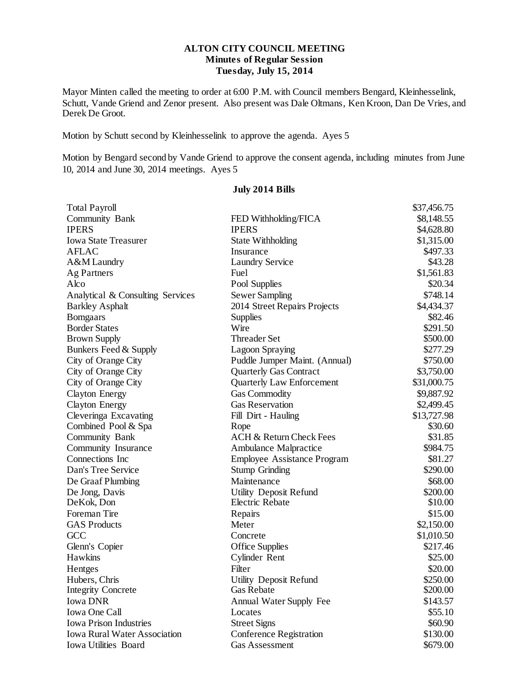# **ALTON CITY COUNCIL MEETING Minutes of Regular Session Tuesday, July 15, 2014**

Mayor Minten called the meeting to order at 6:00 P.M. with Council members Bengard, Kleinhesselink, Schutt, Vande Griend and Zenor present. Also present was Dale Oltmans, Ken Kroon, Dan De Vries, and Derek De Groot.

Motion by Schutt second by Kleinhesselink to approve the agenda. Ayes 5

Motion by Bengard second by Vande Griend to approve the consent agenda, including minutes from June 10, 2014 and June 30, 2014 meetings. Ayes 5

| <b>Total Payroll</b>                                                  |                                    | \$37,456.75 |
|-----------------------------------------------------------------------|------------------------------------|-------------|
| Community Bank                                                        | FED Withholding/FICA               | \$8,148.55  |
| <b>IPERS</b>                                                          | <b>IPERS</b>                       | \$4,628.80  |
| <b>Iowa State Treasurer</b>                                           | <b>State Withholding</b>           | \$1,315.00  |
| <b>AFLAC</b>                                                          | Insurance                          | \$497.33    |
| A&M Laundry                                                           | <b>Laundry Service</b>             | \$43.28     |
| Ag Partners                                                           | Fuel                               | \$1,561.83  |
| Alco                                                                  | Pool Supplies                      | \$20.34     |
| Analytical & Consulting Services                                      | <b>Sewer Sampling</b>              | \$748.14    |
| <b>Barkley Asphalt</b>                                                | 2014 Street Repairs Projects       | \$4,434.37  |
| <b>Bomgaars</b>                                                       | <b>Supplies</b>                    | \$82.46     |
| <b>Border States</b>                                                  | Wire                               | \$291.50    |
| <b>Brown Supply</b>                                                   | Threader Set                       | \$500.00    |
| Bunkers Feed & Supply                                                 | Lagoon Spraying                    | \$277.29    |
| City of Orange City                                                   | Puddle Jumper Maint. (Annual)      | \$750.00    |
| City of Orange City                                                   | <b>Quarterly Gas Contract</b>      | \$3,750.00  |
| City of Orange City                                                   | <b>Quarterly Law Enforcement</b>   | \$31,000.75 |
| <b>Clayton Energy</b>                                                 | Gas Commodity                      | \$9,887.92  |
| <b>Clayton Energy</b>                                                 | <b>Gas Reservation</b>             | \$2,499.45  |
| Cleveringa Excavating                                                 | Fill Dirt - Hauling                | \$13,727.98 |
| Combined Pool & Spa                                                   | Rope                               | \$30.60     |
| Community Bank                                                        | ACH & Return Check Fees            | \$31.85     |
| Community Insurance                                                   | <b>Ambulance Malpractice</b>       | \$984.75    |
| Connections Inc                                                       | <b>Employee Assistance Program</b> | \$81.27     |
| Dan's Tree Service                                                    | <b>Stump Grinding</b>              | \$290.00    |
| De Graaf Plumbing                                                     | Maintenance                        | \$68.00     |
| De Jong, Davis                                                        | Utility Deposit Refund             | \$200.00    |
| DeKok, Don                                                            | <b>Electric Rebate</b>             | \$10.00     |
| Foreman Tire                                                          | Repairs                            | \$15.00     |
| <b>GAS Products</b>                                                   | Meter                              | \$2,150.00  |
| GCC                                                                   | Concrete                           | \$1,010.50  |
| Glenn's Copier                                                        | <b>Office Supplies</b>             | \$217.46    |
| <b>Hawkins</b>                                                        | Cylinder Rent                      | \$25.00     |
| Hentges                                                               | Filter                             | \$20.00     |
| Hubers, Chris                                                         | Utility Deposit Refund             | \$250.00    |
| <b>Integrity Concrete</b>                                             | <b>Gas Rebate</b>                  | \$200.00    |
| <b>Iowa DNR</b>                                                       | Annual Water Supply Fee            | \$143.57    |
| Iowa One Call                                                         | Locates                            | \$55.10     |
| <b>Iowa Prison Industries</b>                                         | <b>Street Signs</b>                | \$60.90     |
| <b>Iowa Rural Water Association</b><br><b>Conference Registration</b> |                                    | \$130.00    |
| <b>Iowa Utilities Board</b>                                           | Gas Assessment                     | \$679.00    |

## **July 2014 Bills**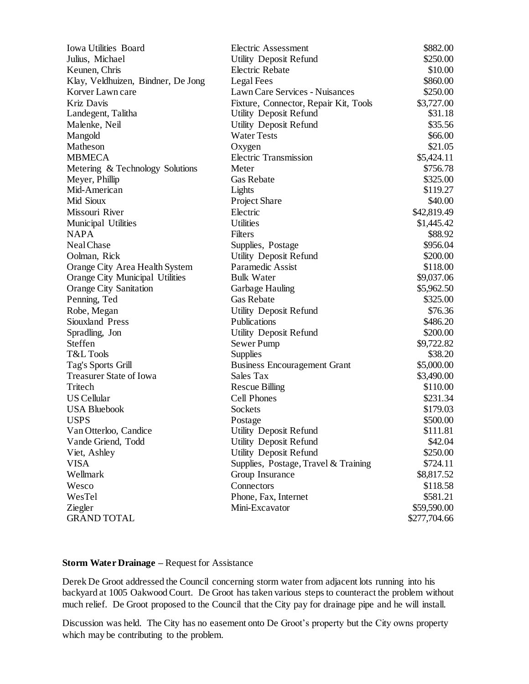| <b>Iowa Utilities Board</b>        | <b>Electric Assessment</b>            | \$882.00     |
|------------------------------------|---------------------------------------|--------------|
| Julius, Michael                    | Utility Deposit Refund                | \$250.00     |
| Keunen, Chris                      | Electric Rebate                       | \$10.00      |
| Klay, Veldhuizen, Bindner, De Jong | Legal Fees                            | \$860.00     |
| Korver Lawn care                   | Lawn Care Services - Nuisances        | \$250.00     |
| Kriz Davis                         | Fixture, Connector, Repair Kit, Tools | \$3,727.00   |
| Landegent, Talitha                 | Utility Deposit Refund                | \$31.18      |
| Malenke, Neil                      | Utility Deposit Refund                | \$35.56      |
| Mangold                            | <b>Water Tests</b>                    | \$66.00      |
| Matheson                           | Oxygen                                | \$21.05      |
| <b>MBMECA</b>                      | <b>Electric Transmission</b>          | \$5,424.11   |
| Metering & Technology Solutions    | Meter                                 | \$756.78     |
| Meyer, Phillip                     | Gas Rebate                            | \$325.00     |
| Mid-American                       | Lights                                | \$119.27     |
| Mid Sioux                          | Project Share                         | \$40.00      |
| Missouri River                     | Electric                              | \$42,819.49  |
| Municipal Utilities                | <b>Utilities</b>                      | \$1,445.42   |
| <b>NAPA</b>                        | Filters                               | \$88.92      |
| Neal Chase                         | Supplies, Postage                     | \$956.04     |
| Oolman, Rick                       | <b>Utility Deposit Refund</b>         | \$200.00     |
| Orange City Area Health System     | Paramedic Assist                      | \$118.00     |
| Orange City Municipal Utilities    | <b>Bulk Water</b>                     | \$9,037.06   |
| <b>Orange City Sanitation</b>      | Garbage Hauling                       | \$5,962.50   |
| Penning, Ted                       | <b>Gas Rebate</b>                     | \$325.00     |
| Robe, Megan                        | Utility Deposit Refund                | \$76.36      |
| Siouxland Press                    | Publications                          | \$486.20     |
| Spradling, Jon                     | Utility Deposit Refund                | \$200.00     |
| Steffen                            | Sewer Pump                            | \$9,722.82   |
| T&L Tools                          | <b>Supplies</b>                       | \$38.20      |
| Tag's Sports Grill                 | <b>Business Encouragement Grant</b>   | \$5,000.00   |
| Treasurer State of Iowa            | Sales Tax                             | \$3,490.00   |
| Tritech                            | <b>Rescue Billing</b>                 | \$110.00     |
| <b>US Cellular</b>                 | <b>Cell Phones</b>                    | \$231.34     |
| <b>USA Bluebook</b>                | Sockets                               | \$179.03     |
| <b>USPS</b>                        | Postage                               | \$500.00     |
| Van Otterloo, Candice              | Utility Deposit Refund                | \$111.81     |
| Vande Griend, Todd                 | Utility Deposit Refund                | \$42.04      |
| Viet, Ashley                       | <b>Utility Deposit Refund</b>         | \$250.00     |
| <b>VISA</b>                        | Supplies, Postage, Travel & Training  | \$724.11     |
| Wellmark                           | Group Insurance                       | \$8,817.52   |
| Wesco                              | Connectors                            | \$118.58     |
| WesTel                             | Phone, Fax, Internet                  | \$581.21     |
| Ziegler                            | Mini-Excavator                        | \$59,590.00  |
| <b>GRAND TOTAL</b>                 |                                       | \$277,704.66 |

## **Storm Water Drainage –** Request for Assistance

Derek De Groot addressed the Council concerning storm water from adjacent lots running into his backyard at 1005 Oakwood Court. De Groot has taken various steps to counteract the problem without much relief. De Groot proposed to the Council that the City pay for drainage pipe and he will install.

Discussion was held. The City has no easement onto De Groot's property but the City owns property which may be contributing to the problem.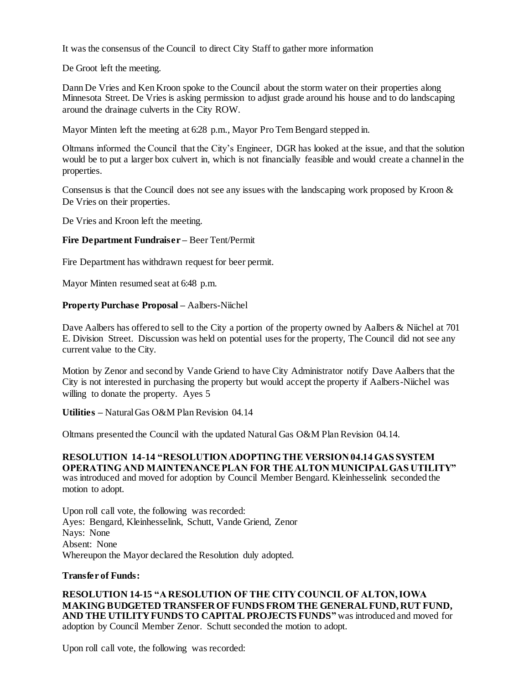It was the consensus of the Council to direct City Staff to gather more information

De Groot left the meeting.

Dann De Vries and Ken Kroon spoke to the Council about the storm water on their properties along Minnesota Street. De Vries is asking permission to adjust grade around his house and to do landscaping around the drainage culverts in the City ROW.

Mayor Minten left the meeting at 6:28 p.m., Mayor Pro Tem Bengard stepped in.

Oltmans informed the Council that the City's Engineer, DGR has looked at the issue, and that the solution would be to put a larger box culvert in, which is not financially feasible and would create a channel in the properties.

Consensus is that the Council does not see any issues with the landscaping work proposed by Kroon & De Vries on their properties.

De Vries and Kroon left the meeting.

## **Fire Department Fundraiser –** Beer Tent/Permit

Fire Department has withdrawn request for beer permit.

Mayor Minten resumed seat at 6:48 p.m.

## **Property Purchase Proposal –** Aalbers-Niichel

Dave Aalbers has offered to sell to the City a portion of the property owned by Aalbers & Niichel at 701 E. Division Street. Discussion was held on potential uses for the property, The Council did not see any current value to the City.

Motion by Zenor and second by Vande Griend to have City Administrator notify Dave Aalbers that the City is not interested in purchasing the property but would accept the property if Aalbers-Niichel was willing to donate the property. Ayes 5

**Utilities –** Natural Gas O&M Plan Revision 04.14

Oltmans presented the Council with the updated Natural Gas O&M Plan Revision 04.14.

**RESOLUTION 14-14 "RESOLUTION ADOPTING THE VERSION 04.14 GAS SYSTEM OPERATING AND MAINTENANCE PLAN FOR THE ALTON MUNICIPAL GAS UTILITY"** was introduced and moved for adoption by Council Member Bengard. Kleinhesselink seconded the motion to adopt.

Upon roll call vote, the following was recorded: Ayes: Bengard, Kleinhesselink, Schutt, Vande Griend, Zenor Nays: None Absent: None Whereupon the Mayor declared the Resolution duly adopted.

### **Transfer of Funds:**

**RESOLUTION 14-15 "A RESOLUTION OF THE CITY COUNCIL OF ALTON, IOWA MAKING BUDGETED TRANSFER OF FUNDS FROM THE GENERAL FUND, RUT FUND, AND THE UTILITY FUNDS TO CAPITAL PROJECTS FUNDS"** was introduced and moved for adoption by Council Member Zenor. Schutt seconded the motion to adopt.

Upon roll call vote, the following was recorded: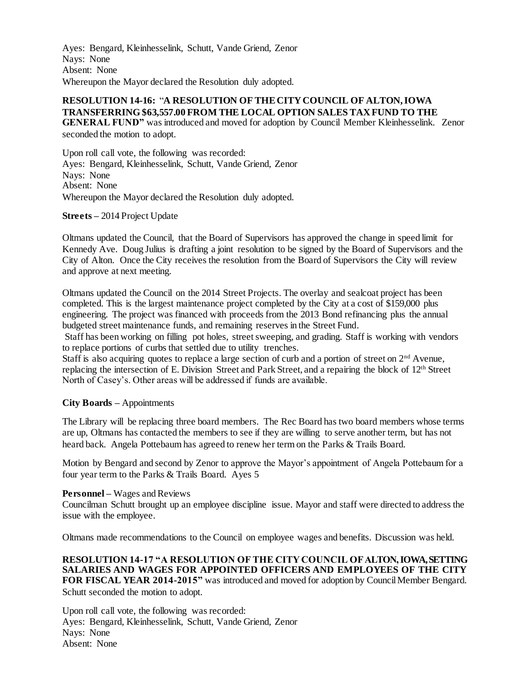Ayes: Bengard, Kleinhesselink, Schutt, Vande Griend, Zenor Nays: None Absent: None Whereupon the Mayor declared the Resolution duly adopted.

# **RESOLUTION 14-16:** "**A RESOLUTION OF THE CITY COUNCIL OF ALTON, IOWA TRANSFERRING \$63,557.00 FROM THE LOCAL OPTION SALES TAX FUND TO THE**

**GENERAL FUND"** was introduced and moved for adoption by Council Member Kleinhesselink. Zenor seconded the motion to adopt.

Upon roll call vote, the following was recorded: Ayes: Bengard, Kleinhesselink, Schutt, Vande Griend, Zenor Nays: None Absent: None Whereupon the Mayor declared the Resolution duly adopted.

## **Streets –** 2014 Project Update

Oltmans updated the Council, that the Board of Supervisors has approved the change in speed limit for Kennedy Ave. Doug Julius is drafting a joint resolution to be signed by the Board of Supervisors and the City of Alton. Once the City receives the resolution from the Board of Supervisors the City will review and approve at next meeting.

Oltmans updated the Council on the 2014 Street Projects. The overlay and sealcoat project has been completed. This is the largest maintenance project completed by the City at a cost of \$159,000 plus engineering. The project was financed with proceeds from the 2013 Bond refinancing plus the annual budgeted street maintenance funds, and remaining reserves in the Street Fund.

Staff has been working on filling pot holes, street sweeping, and grading. Staff is working with vendors to replace portions of curbs that settled due to utility trenches.

Staff is also acquiring quotes to replace a large section of curb and a portion of street on 2<sup>nd</sup> Avenue, replacing the intersection of E. Division Street and Park Street, and a repairing the block of 12th Street North of Casey's. Other areas will be addressed if funds are available.

## **City Boards –** Appointments

The Library will be replacing three board members. The Rec Board has two board members whose terms are up, Oltmans has contacted the members to see if they are willing to serve another term, but has not heard back. Angela Pottebaum has agreed to renew her term on the Parks & Trails Board.

Motion by Bengard and second by Zenor to approve the Mayor's appointment of Angela Pottebaum for a four year term to the Parks & Trails Board. Ayes 5

#### **Personnel –** Wages and Reviews

Councilman Schutt brought up an employee discipline issue. Mayor and staff were directed to address the issue with the employee.

Oltmans made recommendations to the Council on employee wages and benefits. Discussion was held.

**RESOLUTION 14-17 "A RESOLUTION OF THE CITY COUNCIL OF ALTON,IOWA, SETTING SALARIES AND WAGES FOR APPOINTED OFFICERS AND EMPLOYEES OF THE CITY FOR FISCAL YEAR 2014-2015"** was introduced and moved for adoption by Council Member Bengard. Schutt seconded the motion to adopt.

Upon roll call vote, the following was recorded: Ayes: Bengard, Kleinhesselink, Schutt, Vande Griend, Zenor Nays: None Absent: None